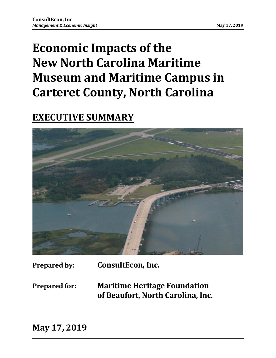# **Economic Impacts of the New North Carolina Maritime Museum and Maritime Campus in Carteret County, North Carolina**

# **EXECUTIVE SUMMARY**



**Prepared by: ConsultEcon, Inc.**

**Prepared for: Maritime Heritage Foundation of Beaufort, North Carolina, Inc.**

**May 17, 2019**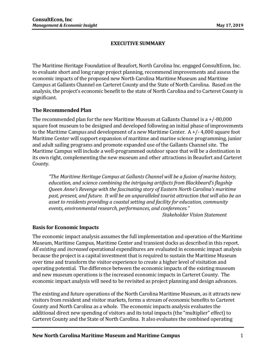# **EXECUTIVE SUMMARY**

The Maritime Heritage Foundation of Beaufort, North Carolina Inc. engaged ConsultEcon, Inc. to evaluate short and long range project planning, recommend improvements and assess the economic impacts of the proposed new North Carolina Maritime Museum and Maritime Campus at Gallants Channel on Carteret County and the State of North Carolina. Based on the analysis, the project's economic benefit to the state of North Carolina and to Carteret County is significant.

### **The Recommended Plan**

The recommended plan for the new Maritime Museum at Gallants Channel is a +/-80,000 square foot museum to be designed and developed following an initial phase of improvements to the Maritime Campus and development of a new Maritime Center. A +/- 4,000 square foot Maritime Center will support expansion of maritime and marine science programming, junior and adult sailing programs and promote expanded use of the Gallants Channel site. The Maritime Campus will include a well-programmed outdoor space that will be a destination in its own right, complementing the new museum and other attractions in Beaufort and Carteret County.

*"The Maritime Heritage Campus at Gallants Channel will be a fusion of marine history, education, and science combining the intriguing artifacts from Blackbeard's flagship Queen Anne's Revenge with the fascinating story of Eastern North Carolina's maritime past, present, and future. It will be an unparalleled tourist attraction that will also be an asset to residents providing a coastal setting and facility for education, community events, environmental research, performances, and conferences."*

*Stakeholder Vision Statement*

### **Basis for Economic Impacts**

The economic impact analysis assumes the full implementation and operation of the Maritime Museum, Maritime Campus, Maritime Center and transient docks as described in this report. *All existing* and *increased* operational expenditures are evaluated in economic impact analysis because the project is a capital investment that is required to sustain the Maritime Museum over time and transform the visitor experience to create a higher level of visitation and operating potential. The difference between the economic impacts of the existing museum and new museum operations is the increased economic impacts in Carteret County. The economic impact analysis will need to be revisited as project planning and design advances.

The existing and future operations of the North Carolina Maritime Museum, as it attracts new visitors from resident and visitor markets, forms a stream of economic benefits to Carteret County and North Carolina as a whole. The economic impacts analysis evaluates the additional direct new spending of visitors and its total impacts (the "multiplier" effect) to Carteret County and the State of North Carolina. It also evaluates the combined operating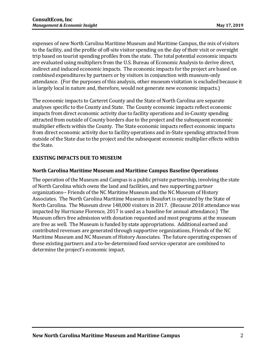expenses of new North Carolina Maritime Museum and Maritime Campus, the mix of visitors to the facility, and the profile of off-site visitor spending on the day of their visit or overnight trip based on tourist spending profiles from the state. The total potential economic impacts are evaluated using multipliers from the U.S. Bureau of Economic Analysis to derive direct, indirect and induced economic impacts. The economic impacts for the project are based on combined expenditures by partners or by visitors in conjunction with museum-only attendance. (For the purposes of this analysis, other museum visitation is excluded because it is largely local in nature and, therefore, would not generate new economic impacts.)

The economic impacts to Carteret County and the State of North Carolina are separate analyses specific to the County and State. The County economic impacts reflect economic impacts from direct economic activity due to facility operations and in-County spending attracted from outside of County borders due to the project and the subsequent economic multiplier effects within the County. The State economic impacts reflect economic impacts from direct economic activity due to facility operations and in-State spending attracted from outside of the State due to the project and the subsequent economic multiplier effects within the State.

# **EXISTING IMPACTS DUE TO MUSEUM**

### **North Carolina Maritime Museum and Maritime Campus Baseline Operations**

The operation of the Museum and Campus is a public private partnership, involving the state of North Carolina which owns the land and facilities, and two supporting partner organizations-- Friends of the NC Maritime Museum and the NC Museum of History Associates. The North Carolina Maritime Museum in Beaufort is operated by the State of North Carolina. The Museum drew 148,000 visitors in 2017. (Because 2018 attendance was impacted by Hurricane Florence, 2017 is used as a baseline for annual attendance.) The Museum offers free admission with donation requested and most programs at the museum are free as well. The Museum is funded by state appropriations. Additional earned and contributed revenues are generated through supportive organizations, Friends of the NC Maritime Museum and NC Museum of History Associates. The future operating expenses of these existing partners and a to-be-determined food service operator are combined to determine the project's economic impact.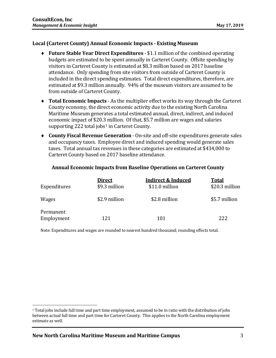#### **Local (Carteret County) Annual Economic Impacts - Existing Museum**

- ♦ **Future Stable Year Direct Expenditures** \$1.1 million of the combined operating budgets are estimated to be spent annually in Carteret County. Offsite spending by visitors in Carteret County is estimated at \$8.3 million based on 2017 baseline attendance. Only spending from site visitors from outside of Carteret County is included in the direct spending estimates. Total direct expenditures, therefore, are estimated at \$9.3 million annually. 94% of the museum visitors are assumed to be from outside of Carteret County.
- ♦ **Total Economic Impacts** As the multiplier effect works its way through the Carteret County economy, the direct economic activity due to the existing North Carolina Maritime Museum generates a total estimated annual, direct, indirect, and induced economic impact of \$20.3 million. Of that, \$5.7 million are wages and salaries supporting 222 total jobs<sup>[1](#page-3-0)</sup> in Carteret County.
- ♦ **County Fiscal Revenue Generation** On-site and off-site expenditures generate sales and occupancy taxes. Employee direct and induced spending would generate sales taxes. Total annual tax revenues in these categories are estimated at \$434,000 to Carteret County based on 2017 baseline attendance.

|                         | Direct        | <b>Indirect &amp; Induced</b> | <b>Total</b>   |
|-------------------------|---------------|-------------------------------|----------------|
| Expenditures            | \$9.3 million | \$11.0 million                | \$20.3 million |
| Wages                   | \$2.9 million | \$2.8 million                 | \$5.7 million  |
| Permanent<br>Employment | 121           | 101                           | 222            |

#### **Annual Economic Impacts from Baseline Operations on Carteret County**

<span id="page-3-0"></span> <sup>1</sup> Total jobs include full time and part time employment, assumed to be in ratio with the distribution of jobs between actual full time and part time for Carteret County. This applies to the North Carolina employment estimate as well.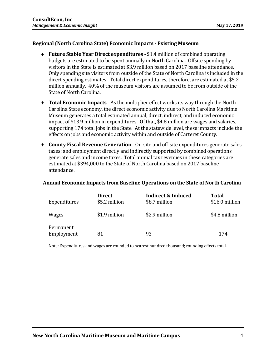#### **Regional (North Carolina State) Economic Impacts - Existing Museum**

- ♦ **Future Stable Year Direct expenditures** \$1.4 million of combined operating budgets are estimated to be spent annually in North Carolina. Offsite spending by visitors in the State is estimated at \$3.9 million based on 2017 baseline attendance. Only spending site visitors from outside of the State of North Carolina is included in the direct spending estimates. Total direct expenditures, therefore, are estimated at \$5.2 million annually. 40% of the museum visitors are assumed to be from outside of the State of North Carolina.
- ♦ **Total Economic Impacts** As the multiplier effect works its way through the North Carolina State economy, the direct economic activity due to North Carolina Maritime Museum generates a total estimated annual, direct, indirect, and induced economic impact of \$13.9 million in expenditures. Of that, \$4.8 million are wages and salaries, supporting 174 total jobs in the State. At the statewide level, these impacts include the effects on jobs and economic activity within and outside of Carteret County.
- ♦ **County Fiscal Revenue Generation** On-site and off-site expenditures generate sales taxes; and employment directly and indirectly supported by combined operations generate sales and income taxes. Total annual tax revenues in these categories are estimated at \$394,000 to the State of North Carolina based on 2017 baseline attendance.

#### **Annual Economic Impacts from Baseline Operations on the State of North Carolina**

| Expenditures            | <b>Direct</b><br>\$5.2 million | <b>Indirect &amp; Induced</b><br>\$8.7 million | <b>Total</b><br>\$16.0 million |
|-------------------------|--------------------------------|------------------------------------------------|--------------------------------|
| Wages                   | \$1.9 million                  | \$2.9 million                                  | \$4.8 million                  |
| Permanent<br>Employment | 81                             | 93                                             | 174                            |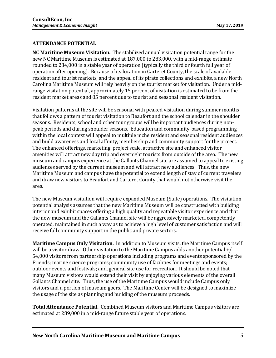# **ATTENDANCE POTENTIAL**

**NC Maritime Museum Visitation.** The stabilized annual visitation potential range for the new NC Maritime Museum is estimated at 187,000 to 283,000, with a mid-range estimate rounded to 234,000 in a stable year of operation (typically the third or fourth full year of operation after opening). Because of its location in Carteret County, the scale of available resident and tourist markets, and the appeal of its pirate collections and exhibits, a new North Carolina Maritime Museum will rely heavily on the tourist market for visitation. Under a midrange visitation potential, approximately 15 percent of visitation is estimated to be from the resident market areas and 85 percent due to tourist and seasonal resident visitation.

Visitation patterns at the site will be seasonal with peaked visitation during summer months that follows a pattern of tourist visitation to Beaufort and the school calendar in the shoulder seasons. Residents, school and other tour groups will be important audiences during nonpeak periods and during shoulder seasons. Education and community-based programming within the local context will appeal to multiple niche resident and seasonal resident audiences and build awareness and local affinity, membership and community support for the project. The enhanced offerings, marketing, project scale, attractive site and enhanced visitor amenities will attract new day trip and overnight tourists from outside of the area. The new museum and campus experience at the Gallants Channel site are assumed to appeal to existing audiences served by the current museum and will attract new audiences. Thus, the new Maritime Museum and campus have the potential to extend length of stay of current travelers and draw new visitors to Beaufort and Carteret County that would not otherwise visit the area.

The new Museum visitation will require expanded Museum (State) operations. The visitation potential analysis assumes that the new Maritime Museum will be constructed with building interior and exhibit spaces offering a high quality and repeatable visitor experience and that the new museum and the Gallants Channel site will be aggressively marketed, competently operated, maintained in such a way as to achieve a high level of customer satisfaction and will receive full community support in the public and private sectors.

**Maritime Campus Only Visitation.** In addition to Museum visits, the Maritime Campus itself will be a visitor draw. Other visitation to the Maritime Campus adds another potential +/- 54,000 visitors from partnership operations including programs and events sponsored by the Friends; marine science programs; community use of facilities for meetings and events; outdoor events and festivals; and, general site use for recreation. It should be noted that many Museum visitors would extend their visit by enjoying various elements of the overall Gallants Channel site. Thus, the use of the Maritime Campus would include Campus only visitors and a portion of museum goers. The Maritime Center will be designed to maximize the usage of the site as planning and building of the museum proceeds.

**Total Attendance Potential.** Combined Museum visitors and Maritime Campus visitors are estimated at 289,000 in a mid-range future stable year of operations.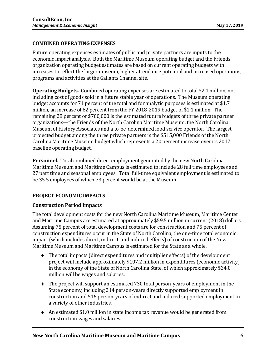# **COMBINED OPERATING EXPENSES**

Future operating expenses estimates of public and private partners are inputs to the economic impact analysis. Both the Maritime Museum operating budget and the Friends organization operating budget estimates are based on current operating budgets with increases to reflect the larger museum, higher attendance potential and increased operations, programs and activities at the Gallants Channel site.

**Operating Budgets.** Combined operating expenses are estimated to total \$2.4 million, not including cost of goods sold in a future stable year of operations. The Museum operating budget accounts for 71 percent of the total and for analytic purposes is estimated at \$1.7 million, an increase of 62 percent from the FY 2018-2019 budget of \$1.1 million. The remaining 28 percent or \$700,000 is the estimated future budgets of three private partner organizations—the Friends of the North Carolina Maritime Museum, the North Carolina Museum of History Associates and a to-be-determined food service operator. The largest projected budget among the three private partners is the \$515,000 Friends of the North Carolina Maritime Museum budget which represents a 20 percent increase over its 2017 baseline operating budget.

**Personnel.** Total combined direct employment generated by the new North Carolina Maritime Museum and Maritime Campus is estimated to include 28 full time employees and 27 part time and seasonal employees. Total full-time equivalent employment is estimated to be 35.5 employees of which 73 percent would be at the Museum.

### **PROJECT ECONOMIC IMPACTS**

### **Construction Period Impacts**

The total development costs for the new North Carolina Maritime Museum, Maritime Center and Maritime Campus are estimated at approximately \$59.5 million in current (2018) dollars. Assuming 75 percent of total development costs are for construction and 75 percent of construction expenditures occur in the State of North Carolina, the one-time total economic impact (which includes direct, indirect, and induced effects) of construction of the New Maritime Museum and Maritime Campus is estimated for the State as a whole.

- ♦ The total impacts (direct expenditures and multiplier effects) of the development project will include approximately \$107.2 million in expenditures (economic activity) in the economy of the State of North Carolina State, of which approximately \$34.0 million will be wages and salaries.
- ♦ The project will support an estimated 730 total person-years of employment in the State economy, including 214 person-years directly supported employment in construction and 516 person-years of indirect and induced supported employment in a variety of other industries.
- ♦ An estimated \$1.0 million in state income tax revenue would be generated from construction wages and salaries.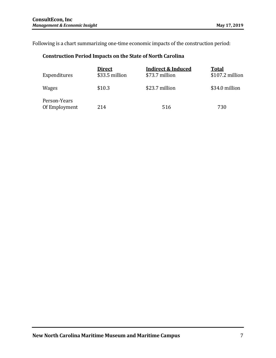Following is a chart summarizing one-time economic impacts of the construction period:

# **Construction Period Impacts on the State of North Carolina**

| Expenditures                  | <b>Direct</b><br>\$33.5 million | <b>Indirect &amp; Induced</b><br>\$73.7 million | <b>Total</b><br>\$107.2 million |
|-------------------------------|---------------------------------|-------------------------------------------------|---------------------------------|
| <b>Wages</b>                  | \$10.3                          | \$23.7 million                                  | \$34.0 million                  |
| Person-Years<br>Of Employment | 214                             | 516                                             | 730                             |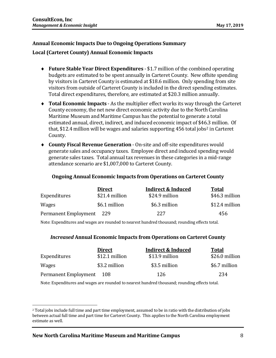# **Annual Economic Impacts Due to Ongoing Operations Summary**

**Local (Carteret County) Annual Economic Impacts**

- ♦ **Future Stable Year Direct Expenditures** \$1.7 million of the combined operating budgets are estimated to be spent annually in Carteret County. New offsite spending by visitors in Carteret County is estimated at \$18.6 million. Only spending from site visitors from outside of Carteret County is included in the direct spending estimates. Total direct expenditures, therefore, are estimated at \$20.3 million annually.
- ♦ **Total Economic Impacts** As the multiplier effect works its way through the Carteret County economy, the net new direct economic activity due to the North Carolina Maritime Museum and Maritime Campus has the potential to generate a total estimated annual, direct, indirect, and induced economic impact of \$4[6.3](#page-8-0) million. Of that,  $$12.4$  million will be wages and salaries supporting 456 total jobs<sup>2</sup> in Carteret County.
- ♦ **County Fiscal Revenue Generation** On-site and off-site expenditures would generate sales and occupancy taxes. Employee direct and induced spending would generate sales taxes. Total annual tax revenues in these categories in a mid-range attendance scenario are \$1,007,000 to Carteret County.

### **Ongoing Annual Economic Impacts from Operations on Carteret County**

|                      | <b>Direct</b>  | <b>Indirect &amp; Induced</b> | <b>Total</b>   |
|----------------------|----------------|-------------------------------|----------------|
| Expenditures         | \$21.4 million | \$24.9 million                | \$46.3 million |
| Wages                | \$6.1 million  | \$6.3 million                 | \$12.4 million |
| Permanent Employment | 229            | 227                           | 456            |

Note: Expenditures and wages are rounded to nearest hundred thousand; rounding effects total.

### *Increased* **Annual Economic Impacts from Operations on Carteret County**

|                      | <b>Direct</b>  | <b>Indirect &amp; Induced</b> | Total          |
|----------------------|----------------|-------------------------------|----------------|
| Expenditures         | \$12.1 million | \$13.9 million                | \$26.0 million |
| Wages                | \$3.2 million  | \$3.5 million                 | \$6.7 million  |
| Permanent Employment | - 108          | 126                           | 234            |

<span id="page-8-0"></span> <sup>2</sup> Total jobs include full time and part time employment, assumed to be in ratio with the distribution of jobs between actual full time and part time for Carteret County. This applies to the North Carolina employment estimate as well.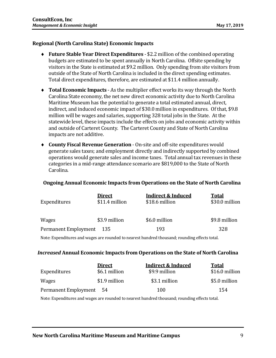### **Regional (North Carolina State) Economic Impacts**

- ♦ **Future Stable Year Direct Expenditures** \$2.2 million of the combined operating budgets are estimated to be spent annually in North Carolina. Offsite spending by visitors in the State is estimated at \$9.2 million. Only spending from site visitors from outside of the State of North Carolina is included in the direct spending estimates. Total direct expenditures, therefore, are estimated at \$11.4 million annually.
- ♦ **Total Economic Impacts** As the multiplier effect works its way through the North Carolina State economy, the net new direct economic activity due to North Carolina Maritime Museum has the potential to generate a total estimated annual, direct, indirect, and induced economic impact of \$30.0 million in expenditures. Of that, \$9.8 million will be wages and salaries, supporting 328 total jobs in the State. At the statewide level, these impacts include the effects on jobs and economic activity within and outside of Carteret County. The Carteret County and State of North Carolina impacts are not additive.
- ♦ **County Fiscal Revenue Generation** On-site and off-site expenditures would generate sales taxes; and employment directly and indirectly supported by combined operations would generate sales and income taxes. Total annual tax revenues in these categories in a mid-range attendance scenario are \$819,000 to the State of North Carolina.

### **Ongoing Annual Economic Impacts from Operations on the State of North Carolina**

| Expenditures         | <u>Direct</u><br>\$11.4 million | <b>Indirect &amp; Induced</b><br>\$18.6 million | <b>Total</b><br>\$30.0 million |
|----------------------|---------------------------------|-------------------------------------------------|--------------------------------|
| <b>Wages</b>         | \$3.9 million                   | \$6.0 million                                   | \$9.8 million                  |
| Permanent Employment | -135                            | 193                                             | 328                            |

Note: Expenditures and wages are rounded to nearest hundred thousand; rounding effects total.

#### *Increased* **Annual Economic Impacts from Operations on the State of North Carolina**

|                      | <b>Direct</b> | <b>Indirect &amp; Induced</b> | <b>Total</b>   |
|----------------------|---------------|-------------------------------|----------------|
| Expenditures         | \$6.1 million | \$9.9 million                 | \$16.0 million |
| Wages                | \$1.9 million | \$3.1 million                 | \$5.0 million  |
| Permanent Employment | -54           | 100                           | 154            |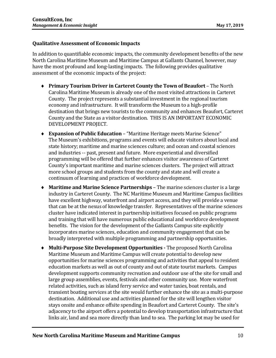#### **Qualitative Assessment of Economic Impacts**

In addition to quantifiable economic impacts, the community development benefits of the new North Carolina Maritime Museum and Maritime Campus at Gallants Channel, however, may have the most profound and long-lasting impacts. The following provides qualitative assessment of the economic impacts of the project:

- ♦ **Primary Tourism Driver in Carteret County the Town of Beaufort**  The North Carolina Maritime Museum is already one of the most visited attractions in Carteret County. The project represents a substantial investment in the regional tourism economy and infrastructure. It will transform the Museum to a high-profile destination that brings new tourists to the community and enhances Beaufort, Carteret County and the State as a visitor destination. THIS IS AN IMPORTANT ECONOMIC DEVELOPMENT PROJECT.
- ♦ **Expansion of Public Education**  "Maritime Heritage meets Marine Science" The Museum's exhibitions, programs and events will educate visitors about local and state history; maritime and marine sciences culture; and ocean and coastal sciences and industries -- past, present and future. More experiential and diversified programming will be offered that further enhances visitor awareness of Carteret County's important maritime and marine sciences clusters. The project will attract more school groups and students from the county and state and will create a continuum of learning and practices of workforce development.
- ♦ **Maritime and Marine Science Partnerships**  The marine sciences cluster is a large industry in Carteret County. The NC Maritime Museum and Maritime Campus facilities have excellent highway, waterfront and airport access, and they will provide a venue that can be at the nexus of knowledge transfer. Representatives of the marine sciences cluster have indicated interest in partnership initiatives focused on public programs and training that will have numerous public educational and workforce development benefits. The vision for the development of the Gallants Campus site explicitly incorporates marine sciences, education and community engagement that can be broadly interpreted with multiple programming and partnership opportunities.
- ♦ **Multi-Purpose Site Development Opportunities -** The proposed North Carolina Maritime Museum and Maritime Campus will create potential to develop new opportunities for marine sciences programming and activities that appeal to resident education markets as well as out of county and out of state tourist markets. Campus development supports community recreation and outdoor use of the site for small and large group assemblies, events, festivals and other community use. More waterfront related activities, such as island ferry service and water taxies, boat rentals, and transient boating services at the site would further enhance the site as a multi-purpose destination. Additional use and activities planned for the site will lengthen visitor stays onsite and enhance offsite spending in Beaufort and Carteret County. The site's adjacency to the airport offers a potential to develop transportation infrastructure that links air, land and sea more directly than land to sea. The parking lot may be used for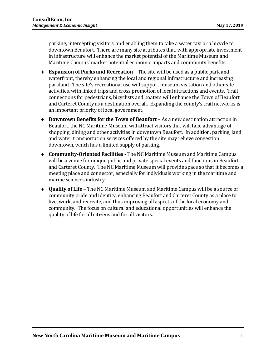parking, intercepting visitors, and enabling them to take a water taxi or a bicycle to downtown Beaufort. There are many site attributes that, with appropriate investment in infrastructure will enhance the market potential of the Maritime Museum and Maritime Campus' market potential economic impacts and community benefits.

- ♦ **Expansion of Parks and Recreation**  The site will be used as a public park and waterfront, thereby enhancing the local and regional infrastructure and increasing parkland. The site's recreational use will support museum visitation and other site activities, with linked trips and cross promotion of local attractions and events. Trail connections for pedestrians, bicyclists and boaters will enhance the Town of Beaufort and Carteret County as a destination overall. Expanding the county's trail networks is an important priority of local government.
- ♦ **Downtown Benefits for the Town of Beaufort** As a new destination attraction in Beaufort, the NC Maritime Museum will attract visitors that will take advantage of shopping, dining and other activities in downtown Beaufort. In addition, parking, land and water transportation services offered by the site may relieve congestion downtown, which has a limited supply of parking.
- ♦ **Community-Oriented Facilities -** The NC Maritime Museum and Maritime Campus will be a venue for unique public and private special events and functions in Beaufort and Carteret County. The NC Maritime Museum will provide space so that it becomes a meeting place and connector, especially for individuals working in the maritime and marine sciences industry.
- ♦ **Quality of Life**  The NC Maritime Museum and Maritime Campus will be a source of community pride and identity, enhancing Beaufort and Carteret County as a place to live, work, and recreate, and thus improving all aspects of the local economy and community. The focus on cultural and educational opportunities will enhance the quality of life for all citizens and for all visitors.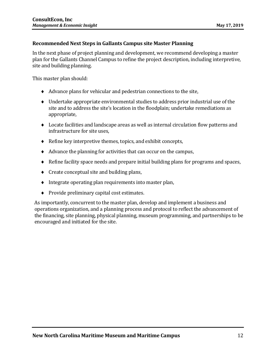#### **Recommended Next Steps in Gallants Campus site Master Planning**

In the next phase of project planning and development, we recommend developing a master plan for the Gallants Channel Campus to refine the project description, including interpretive, site and building planning.

This master plan should:

- ♦ Advance plans for vehicular and pedestrian connections to the site,
- ♦ Undertake appropriate environmental studies to address prior industrial use of the site and to address the site's location in the floodplain; undertake remediations as appropriate,
- ♦ Locate facilities and landscape areas as well as internal circulation flow patterns and infrastructure for site uses,
- ♦ Refine key interpretive themes, topics, and exhibit concepts,
- ♦ Advance the planning for activities that can occur on the campus,
- ♦ Refine facility space needs and prepare initial building plans for programs and spaces,
- ♦ Create conceptual site and building plans,
- ♦ Integrate operating plan requirements into master plan,
- ♦ Provide preliminary capital cost estimates.

As importantly, concurrent to the master plan, develop and implement a business and operations organization, and a planning process and protocol to reflect the advancement of the financing, site planning, physical planning, museum programming, and partnerships to be encouraged and initiated for the site.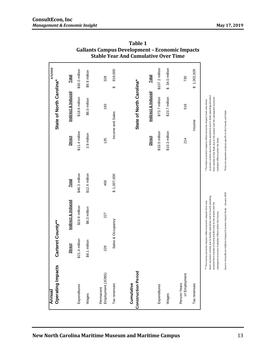#### **ConsultEcon, Inc** *Management & Economic Insight* **May 17, 2019**

| <b>Operating Impacts</b><br>Annual       | Carteret County**                                         |                                                                                                                                                                                                                      |                |                                                                                                                                                                                                                                                                           | State of North Carolina* | 3/5/2019        |
|------------------------------------------|-----------------------------------------------------------|----------------------------------------------------------------------------------------------------------------------------------------------------------------------------------------------------------------------|----------------|---------------------------------------------------------------------------------------------------------------------------------------------------------------------------------------------------------------------------------------------------------------------------|--------------------------|-----------------|
|                                          | <b>Direct</b>                                             | Indirect & Induced                                                                                                                                                                                                   | <b>Total</b>   | <b>Direct</b>                                                                                                                                                                                                                                                             | Indirect & Induced       | <b>Total</b>    |
| Expenditures                             | \$21.4 million                                            | \$24.9 million                                                                                                                                                                                                       | \$46.3 million | \$11.4 million                                                                                                                                                                                                                                                            | \$18.6 million           | \$30.0 million  |
| Wages                                    | \$6.1 million                                             | \$6.3 million                                                                                                                                                                                                        | \$12.4 million | 3.9 million                                                                                                                                                                                                                                                               | \$6.0 million            | \$9.8 million   |
| Employment (JOBS)<br>Permanent           | 229                                                       | 227                                                                                                                                                                                                                  | 456            | 135                                                                                                                                                                                                                                                                       | 193                      | 328             |
| Tax revenues                             |                                                           | Sales & Occupancy                                                                                                                                                                                                    | \$1,007,000    |                                                                                                                                                                                                                                                                           | Income and Sales         | 819,000<br>↔    |
| <b>Construction Period</b><br>Cumulative |                                                           |                                                                                                                                                                                                                      |                |                                                                                                                                                                                                                                                                           | State of North Carolina* |                 |
|                                          |                                                           |                                                                                                                                                                                                                      |                | <b>Direct</b>                                                                                                                                                                                                                                                             | Indirect & Induced       | <b>Total</b>    |
| Expenditures                             |                                                           |                                                                                                                                                                                                                      |                | \$33.5 million                                                                                                                                                                                                                                                            | \$73.7 million           | \$107.2 million |
| Wages                                    |                                                           |                                                                                                                                                                                                                      |                | \$10.3 million                                                                                                                                                                                                                                                            | \$23.7 million           | \$ 34.0 million |
| of Employment<br>Person-Years            |                                                           |                                                                                                                                                                                                                      |                | 214                                                                                                                                                                                                                                                                       | 516                      | 730             |
| Tax revenues                             |                                                           |                                                                                                                                                                                                                      |                |                                                                                                                                                                                                                                                                           | Income                   | \$1,002,826     |
|                                          | subsequent economic multiplier effects within the County. | direct economic activity due to facility operations and in-County spending<br>** The County economic impacts reflect economic impacts from new<br>atracted from outside of County borders due to the project and the |                | economic activity due to facility operations and in-State spending attracted<br>from outside of the State due to the project and the subsequent economic<br>* The State economic impacts reflect economic impacts from new direct<br>multiplier effects within the State. |                          |                 |
|                                          |                                                           | Source: ConsultEcon Gallants Campus Economic Impact Study - January 2019                                                                                                                                             |                | These are separate analyses specific to the County and State.                                                                                                                                                                                                             |                          |                 |

**Table 1 Gallants Campus Development – Economic Impacts Stable Year And Cumulative Over Time**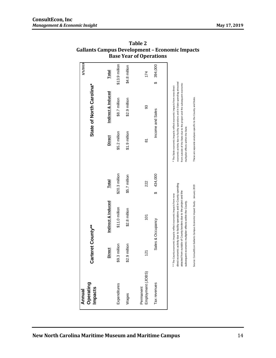| Operating<br>Annual            |                   |                                                                                                                                                                                                                                                                                                                                                               |                |                                                                                                       |                                                                                                                                                                                                                                   | 3/5/2019       |
|--------------------------------|-------------------|---------------------------------------------------------------------------------------------------------------------------------------------------------------------------------------------------------------------------------------------------------------------------------------------------------------------------------------------------------------|----------------|-------------------------------------------------------------------------------------------------------|-----------------------------------------------------------------------------------------------------------------------------------------------------------------------------------------------------------------------------------|----------------|
| Impacts                        | Carteret County** |                                                                                                                                                                                                                                                                                                                                                               |                |                                                                                                       | State of North Carolina*                                                                                                                                                                                                          |                |
|                                | <b>Direct</b>     | <b>Indirect &amp; Induced</b>                                                                                                                                                                                                                                                                                                                                 | <b>Total</b>   | <b>Direct</b>                                                                                         | <b>Indirect &amp; Induced</b>                                                                                                                                                                                                     | <b>Total</b>   |
| Expenditures                   | \$9.3 million     | \$11.0 million                                                                                                                                                                                                                                                                                                                                                | \$20.3 million | \$5.2 million                                                                                         | \$8.7 million                                                                                                                                                                                                                     | \$13.9 million |
| Wages                          | \$2.9 million     | \$2.8 million                                                                                                                                                                                                                                                                                                                                                 | \$5.7 million  | $$1.9$ million                                                                                        | \$2.9 million                                                                                                                                                                                                                     | \$4.8 million  |
| Employment (JOBS)<br>Permanent | $\frac{2}{1}$     | $\overline{5}$                                                                                                                                                                                                                                                                                                                                                | 222            | δ                                                                                                     | 93                                                                                                                                                                                                                                | 174            |
| Tax revenues                   |                   | Sales & Occupancy                                                                                                                                                                                                                                                                                                                                             | 434,000<br>↔   |                                                                                                       | Income and Sales                                                                                                                                                                                                                  | 394,000<br>↔   |
|                                |                   | direct economic activity due to facility operations and in-County spending<br>Source: ConsultEcon Gallants Campus Economic Impact Study - January 2019<br>atracted from outside of County borders due to the project and the<br>** The County economic impacts reflect economic impacts from new<br>subsequent economic multiplier effects within the County. |                | These are separate analyses specific to the County and State.<br>multiplier effects within the State. | economic activity due to facility operations and in-State spending attracted<br>from outside of the State due to the project and the subsequent economic<br>* The State economic impacts reflect economic impacts from new direct |                |

**Table 2 Gallants Campus Development – Economic Impacts Base Year of Operations**